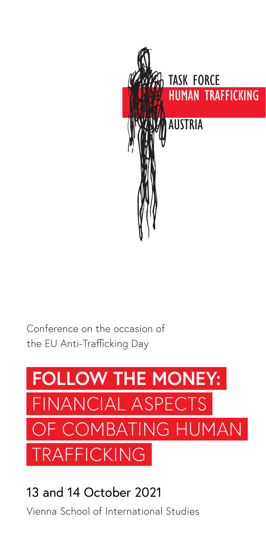

Conference on the occasion of the EU Anti-Trafficking Day

# **FOLLOW THE MONEY:**  FINANCIAL ASPECTS OF COMBATING HUMAN **TRAFFICKING**

13 and 14 October 2021 Vienna School of International Studies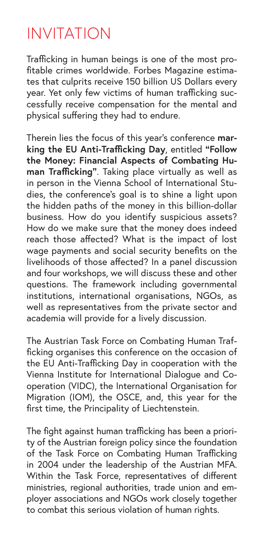# INVITATION

Trafficking in human beings is one of the most profitable crimes worldwide. Forbes Magazine estimates that culprits receive 150 billion US Dollars every year. Yet only few victims of human trafficking successfully receive compensation for the mental and physical suffering they had to endure.

Therein lies the focus of this year's conference **marking the EU Anti-Trafficking Day**, entitled **"Follow the Money: Financial Aspects of Combating Human Trafficking"**. Taking place virtually as well as in person in the Vienna School of International Studies, the conference's goal is to shine a light upon the hidden paths of the money in this billion-dollar business. How do you identify suspicious assets? How do we make sure that the money does indeed reach those affected? What is the impact of lost wage payments and social security benefits on the livelihoods of those affected? In a panel discussion and four workshops, we will discuss these and other questions. The framework including governmental institutions, international organisations, NGOs, as well as representatives from the private sector and academia will provide for a lively discussion.

The Austrian Task Force on Combating Human Trafficking organises this conference on the occasion of the EU Anti-Trafficking Day in cooperation with the Vienna Institute for International Dialogue and Cooperation (VIDC), the International Organisation for Migration (IOM), the OSCE, and, this year for the first time, the Principality of Liechtenstein.

The fight against human trafficking has been a priority of the Austrian foreign policy since the foundation of the Task Force on Combating Human Trafficking in 2004 under the leadership of the Austrian MFA. Within the Task Force, representatives of different ministries, regional authorities, trade union and employer associations and NGOs work closely together to combat this serious violation of human rights.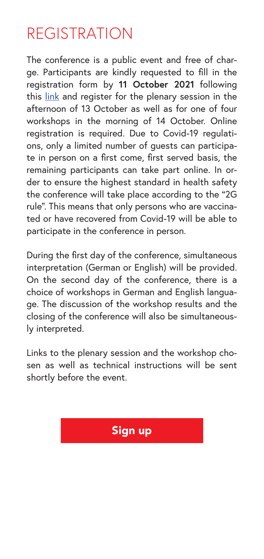# REGISTRATION

The conference is a public event and free of charge. Participants are kindly requested to fill in the registration form by **11 October 2021** following this [link](https://eventmaker.at/bmeia/anti-trafficking-conference2021) and register for the plenary session in the afternoon of 13 October as well as for one of four workshops in the morning of 14 October. Online registration is required. Due to Covid-19 regulations, only a limited number of guests can participate in person on a first come, first served basis, the remaining participants can take part online. In order to ensure the highest standard in health safety the conference will take place according to the "2G rule". This means that only persons who are vaccinated or have recovered from Covid-19 will be able to participate in the conference in person.

During the first day of the conference, simultaneous interpretation (German or English) will be provided. On the second day of the conference, there is a choice of workshops in German and English language. The discussion of the workshop results and the closing of the conference will also be simultaneously interpreted.

Links to the plenary session and the workshop chosen as well as technical instructions will be sent shortly before the event.

### [Sign up](https://eventmaker.at/bmeia/anti-trafficking-conference2021)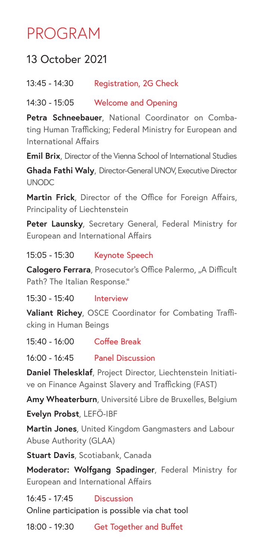# PROGRAM

### 13 October 2021

13:45 - 14:30 Registration, 2G Check

14:30 - 15:05 Welcome and Opening

**Petra Schneebauer**, National Coordinator on Combating Human Trafficking; Federal Ministry for European and International Affairs

**Emil Brix**, Director of the Vienna School of International Studies

**Ghada Fathi Waly**, Director-General UNOV, Executive Director UNODC

**Martin Frick**, Director of the Office for Foreign Affairs, Principality of Liechtenstein

**Peter Launsky**, Secretary General, Federal Ministry for European and International Affairs

15:05 - 15:30 Keynote Speech

Calogero Ferrara, Prosecutor's Office Palermo, "A Difficult Path? The Italian Response."

 $15:30 - 15:40$  Interview

**Valiant Richey**, OSCE Coordinator for Combating Trafficking in Human Beings

15:40 - 16:00 Coffee Break

16:00 - 16:45 Panel Discussion

**Daniel Thelesklaf**, Project Director, Liechtenstein Initiative on Finance Against Slavery and Trafficking (FAST)

**Amy Wheaterburn**, Université Libre de Bruxelles, Belgium

**Evelyn Probst**, LEFÖ-IBF

**Martin Jones**, United Kingdom Gangmasters and Labour Abuse Authority (GLAA)

**Stuart Davis**, Scotiabank, Canada

**Moderator: Wolfgang Spadinger**, Federal Ministry for European and International Affairs

16:45 - 17:45 Discussion Online participation is possible via chat tool

18:00 - 19:30 Get Together and Buffet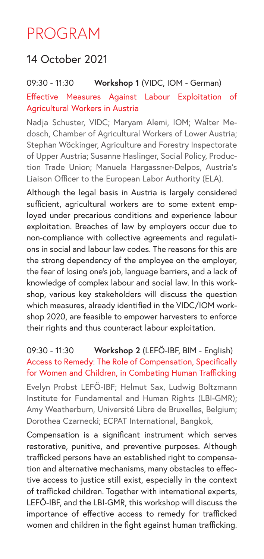### PROGRAM

### 14 October 2021

#### 09:30 - 11:30 **Workshop 1** (VIDC, IOM - German) Effective Measures Against Labour Exploitation of Agricultural Workers in Austria

Nadja Schuster, VIDC; Maryam Alemi, IOM; Walter Medosch, Chamber of Agricultural Workers of Lower Austria; Stephan Wöckinger, Agriculture and Forestry Inspectorate of Upper Austria; Susanne Haslinger, Social Policy, Production Trade Union; Manuela Hargassner-Delpos, Austria's Liaison Officer to the European Labor Authority (ELA).

Although the legal basis in Austria is largely considered sufficient, agricultural workers are to some extent employed under precarious conditions and experience labour exploitation. Breaches of law by employers occur due to non-compliance with collective agreements and regulations in social and labour law codes. The reasons for this are the strong dependency of the employee on the employer, the fear of losing one's job, language barriers, and a lack of knowledge of complex labour and social law. In this workshop, various key stakeholders will discuss the question which measures, already identified in the VIDC/IOM workshop 2020, are feasible to empower harvesters to enforce their rights and thus counteract labour exploitation.

09:30 - 11:30 **Workshop 2** (LEFÖ-IBF, BIM - English) Access to Remedy: The Role of Compensation, Specifically for Women and Children, in Combating Human Trafficking

Evelyn Probst LEFÖ-IBF; Helmut Sax, Ludwig Boltzmann Institute for Fundamental and Human Rights (LBI-GMR); Amy Weatherburn, Université Libre de Bruxelles, Belgium; Dorothea Czarnecki; ECPAT International, Bangkok,

Compensation is a significant instrument which serves restorative, punitive, and preventive purposes. Although trafficked persons have an established right to compensation and alternative mechanisms, many obstacles to effective access to justice still exist, especially in the context of trafficked children. Together with international experts, LEFÖ-IBF, and the LBI-GMR, this workshop will discuss the importance of effective access to remedy for trafficked women and children in the fight against human trafficking.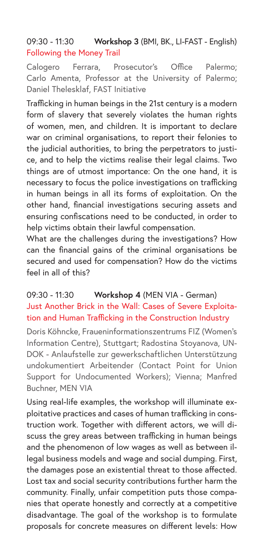#### 09:30 - 11:30 **Workshop 3** (BMI, BK., LI-FAST - English) Following the Money Trail

Calogero Ferrara, Prosecutor's Office Palermo; Carlo Amenta, Professor at the University of Palermo; Daniel Thelesklaf, FAST Initiative

Trafficking in human beings in the 21st century is a modern form of slavery that severely violates the human rights of women, men, and children. It is important to declare war on criminal organisations, to report their felonies to the judicial authorities, to bring the perpetrators to justice, and to help the victims realise their legal claims. Two things are of utmost importance: On the one hand, it is necessary to focus the police investigations on trafficking in human beings in all its forms of exploitation. On the other hand, financial investigations securing assets and ensuring confiscations need to be conducted, in order to help victims obtain their lawful compensation.

What are the challenges during the investigations? How can the financial gains of the criminal organisations be secured and used for compensation? How do the victims feel in all of this?

#### 09:30 - 11:30 **Workshop 4** (MEN VIA - German) Just Another Brick in the Wall: Cases of Severe Exploitation and Human Trafficking in the Construction Industry

Doris Köhncke, Fraueninformationszentrums FIZ (Women's Information Centre), Stuttgart; Radostina Stoyanova, UN-DOK - Anlaufstelle zur gewerkschaftlichen Unterstützung undokumentiert Arbeitender (Contact Point for Union Support for Undocumented Workers); Vienna; Manfred Buchner, MEN VIA

Using real-life examples, the workshop will illuminate exploitative practices and cases of human trafficking in construction work. Together with different actors, we will discuss the grey areas between trafficking in human beings and the phenomenon of low wages as well as between illegal business models and wage and social dumping. First, the damages pose an existential threat to those affected. Lost tax and social security contributions further harm the community. Finally, unfair competition puts those companies that operate honestly and correctly at a competitive disadvantage. The goal of the workshop is to formulate proposals for concrete measures on different levels: How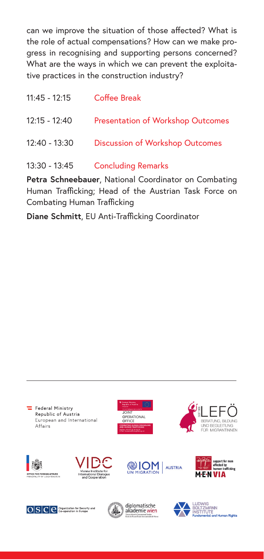can we improve the situation of those affected? What is the role of actual compensations? How can we make progress in recognising and supporting persons concerned? What are the ways in which we can prevent the exploitative practices in the construction industry?

| $11:45 - 12:15$ | Coffee Break                             |
|-----------------|------------------------------------------|
| $12:15 - 12:40$ | <b>Presentation of Workshop Outcomes</b> |
| $12:40 - 13:30$ | <b>Discussion of Workshop Outcomes</b>   |
| 13:30 - 13:45   | <b>Concluding Remarks</b>                |

**Petra Schneebauer**, National Coordinator on Combating Human Trafficking; Head of the Austrian Task Force on Combating Human Trafficking

**Diane Schmitt**, EU Anti-Trafficking Coordinator

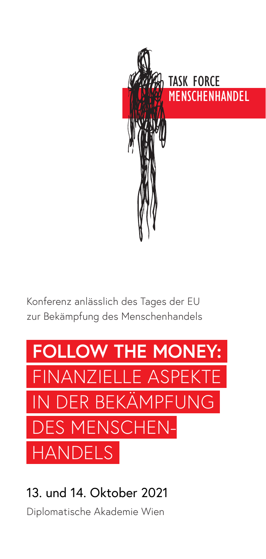

Konferenz anlässlich des Tages der EU zur Bekämpfung des Menschenhandels



### 13. und 14. Oktober 2021 Diplomatische Akademie Wien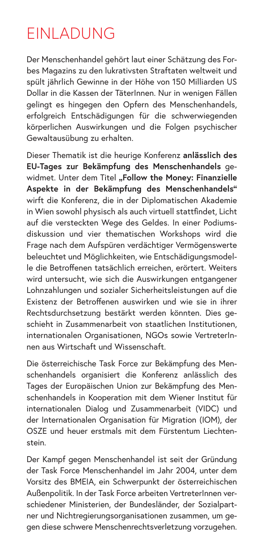# EINLADUNG

Der Menschenhandel gehört laut einer Schätzung des Forbes Magazins zu den lukrativsten Straftaten weltweit und spült jährlich Gewinne in der Höhe von 150 Milliarden US Dollar in die Kassen der TäterInnen. Nur in wenigen Fällen gelingt es hingegen den Opfern des Menschenhandels, erfolgreich Entschädigungen für die schwerwiegenden körperlichen Auswirkungen und die Folgen psychischer Gewaltausübung zu erhalten.

Dieser Thematik ist die heurige Konferenz **anlässlich des EU-Tages zur Bekämpfung des Menschenhandels** gewidmet. Unter dem Titel "Follow the Money: Finanzielle **Aspekte in der Bekämpfung des Menschenhandels"**  wirft die Konferenz, die in der Diplomatischen Akademie in Wien sowohl physisch als auch virtuell stattfindet, Licht auf die versteckten Wege des Geldes. In einer Podiumsdiskussion und vier thematischen Workshops wird die Frage nach dem Aufspüren verdächtiger Vermögenswerte beleuchtet und Möglichkeiten, wie Entschädigungsmodelle die Betroffenen tatsächlich erreichen, erörtert. Weiters wird untersucht, wie sich die Auswirkungen entgangener Lohnzahlungen und sozialer Sicherheitsleistungen auf die Existenz der Betroffenen auswirken und wie sie in ihrer Rechtsdurchsetzung bestärkt werden könnten. Dies geschieht in Zusammenarbeit von staatlichen Institutionen, internationalen Organisationen, NGOs sowie VertreterInnen aus Wirtschaft und Wissenschaft.

Die österreichische Task Force zur Bekämpfung des Menschenhandels organisiert die Konferenz anlässlich des Tages der Europäischen Union zur Bekämpfung des Menschenhandels in Kooperation mit dem Wiener Institut für internationalen Dialog und Zusammenarbeit (VIDC) und der Internationalen Organisation für Migration (IOM), der OSZE und heuer erstmals mit dem Fürstentum Liechtenstein.

Der Kampf gegen Menschenhandel ist seit der Gründung der Task Force Menschenhandel im Jahr 2004, unter dem Vorsitz des BMEIA, ein Schwerpunkt der österreichischen Außenpolitik. In der Task Force arbeiten VertreterInnen verschiedener Ministerien, der Bundesländer, der Sozialpartner und Nichtregierungsorganisationen zusammen, um gegen diese schwere Menschenrechtsverletzung vorzugehen.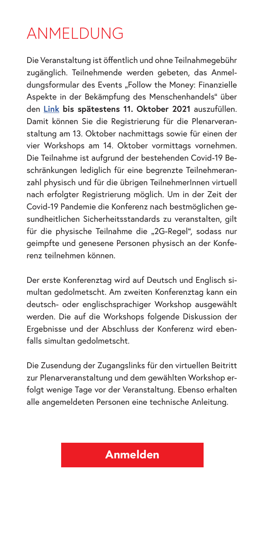# ANMELDUNG

Die Veranstaltung ist öffentlich und ohne Teilnahmegebühr zugänglich. Teilnehmende werden gebeten, das Anmeldungsformular des Events "Follow the Money: Finanzielle Aspekte in der Bekämpfung des Menschenhandels" über den **[Link](https://eventmaker.at/bmeia/anti-trafficking-conference2021) bis spätestens 11. Oktober 2021** auszufüllen. Damit können Sie die Registrierung für die Plenarveranstaltung am 13. Oktober nachmittags sowie für einen der vier Workshops am 14. Oktober vormittags vornehmen. Die Teilnahme ist aufgrund der bestehenden Covid-19 Beschränkungen lediglich für eine begrenzte Teilnehmeranzahl physisch und für die übrigen TeilnehmerInnen virtuell nach erfolgter Registrierung möglich. Um in der Zeit der Covid-19 Pandemie die Konferenz nach bestmöglichen gesundheitlichen Sicherheitsstandards zu veranstalten, gilt für die physische Teilnahme die "2G-Regel", sodass nur geimpfte und genesene Personen physisch an der Konferenz teilnehmen können.

Der erste Konferenztag wird auf Deutsch und Englisch simultan gedolmetscht. Am zweiten Konferenztag kann ein deutsch- oder englischsprachiger Workshop ausgewählt werden. Die auf die Workshops folgende Diskussion der Ergebnisse und der Abschluss der Konferenz wird ebenfalls simultan gedolmetscht.

Die Zusendung der Zugangslinks für den virtuellen Beitritt zur Plenarveranstaltung und dem gewählten Workshop erfolgt wenige Tage vor der Veranstaltung. Ebenso erhalten alle angemeldeten Personen eine technische Anleitung.

### [Anmelden](https://eventmaker.at/bmeia/anti-trafficking-conference2021)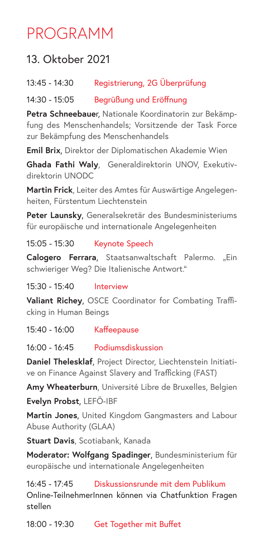## PROGRAMM

### 13. Oktober 2021

13:45 - 14:30 Registrierung, 2G Überprüfung

14:30 - 15:05 Begrüßung und Eröffnung

**Petra Schneebaue**r, Nationale Koordinatorin zur Bekämpfung des Menschenhandels; Vorsitzende der Task Force zur Bekämpfung des Menschenhandels

**Emil Brix**, Direktor der Diplomatischen Akademie Wien

**Ghada Fathi Waly**, Generaldirektorin UNOV, Exekutivdirektorin UNODC

**Martin Frick**, Leiter des Amtes für Auswärtige Angelegenheiten, Fürstentum Liechtenstein

**Peter Launsky**, Generalsekretär des Bundesministeriums für europäische und internationale Angelegenheiten

15:05 - 15:30 Keynote Speech

**Calogero Ferrara**, Staatsanwaltschaft Palermo. "Ein schwieriger Weg? Die Italienische Antwort."

 $15:30 - 15:40$  Interview

**Valiant Richey**, OSCE Coordinator for Combating Trafficking in Human Beings

15:40 - 16:00 Kaffeepause

16:00 - 16:45 Podiumsdiskussion

**Daniel Thelesklaf**, Project Director, Liechtenstein Initiative on Finance Against Slavery and Trafficking (FAST)

**Amy Wheaterburn**, Université Libre de Bruxelles, Belgien **Evelyn Probst**, LEFÖ-IBF

**Martin Jones**, United Kingdom Gangmasters and Labour Abuse Authority (GLAA)

**Stuart Davis**, Scotiabank, Kanada

**Moderator: Wolfgang Spadinger**, Bundesministerium für europäische und internationale Angelegenheiten

16:45 - 17:45 Diskussionsrunde mit dem Publikum Online-TeilnehmerInnen können via Chatfunktion Fragen stellen

18:00 - 19:30 Get Together mit Buffet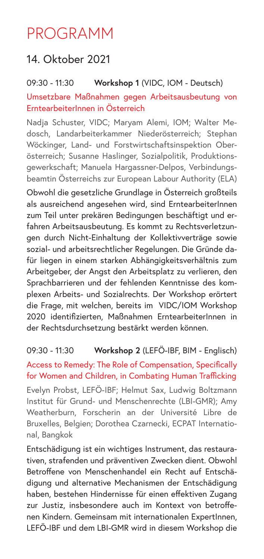### PROGRAMM

### 14. Oktober 2021

#### 09:30 - 11:30 **Workshop 1** (VIDC, IOM - Deutsch)

#### Umsetzbare Maßnahmen gegen Arbeitsausbeutung von ErntearbeiterInnen in Österreich

Nadja Schuster, VIDC; Maryam Alemi, IOM; Walter Medosch, Landarbeiterkammer Niederösterreich; Stephan Wöckinger, Land- und Forstwirtschaftsinspektion Oberösterreich; Susanne Haslinger, Sozialpolitik, Produktionsgewerkschaft; Manuela Hargassner-Delpos, Verbindungsbeamtin Österreichs zur European Labour Authority (ELA)

Obwohl die gesetzliche Grundlage in Österreich großteils als ausreichend angesehen wird, sind ErntearbeiterInnen zum Teil unter prekären Bedingungen beschäftigt und erfahren Arbeitsausbeutung. Es kommt zu Rechtsverletzungen durch Nicht-Einhaltung der Kollektivverträge sowie sozial- und arbeitsrechtlicher Regelungen. Die Gründe dafür liegen in einem starken Abhängigkeitsverhältnis zum Arbeitgeber, der Angst den Arbeitsplatz zu verlieren, den Sprachbarrieren und der fehlenden Kenntnisse des komplexen Arbeits- und Sozialrechts. Der Workshop erörtert die Frage, mit welchen, bereits im VIDC/IOM Workshop 2020 identifizierten, Maßnahmen ErntearbeiterInnen in der Rechtsdurchsetzung bestärkt werden können.

09:30 - 11:30 **Workshop 2** (LEFÖ-IBF, BIM - Englisch)

Access to Remedy: The Role of Compensation, Specifically for Women and Children, in Combating Human Trafficking

Evelyn Probst, LEFÖ-IBF; Helmut Sax, Ludwig Boltzmann Institut für Grund- und Menschenrechte (LBI-GMR); Amy Weatherburn, Forscherin an der Université Libre de Bruxelles, Belgien; Dorothea Czarnecki, ECPAT International, Bangkok

Entschädigung ist ein wichtiges Instrument, das restaurativen, strafenden und präventiven Zwecken dient. Obwohl Betroffene von Menschenhandel ein Recht auf Entschädigung und alternative Mechanismen der Entschädigung haben, bestehen Hindernisse für einen effektiven Zugang zur Justiz, insbesondere auch im Kontext von betroffenen Kindern. Gemeinsam mit internationalen ExpertInnen, LEFÖ-IBF und dem LBI-GMR wird in diesem Workshop die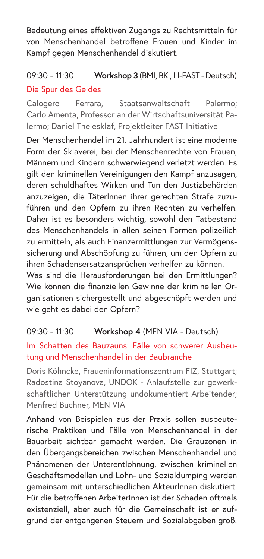Bedeutung eines effektiven Zugangs zu Rechtsmitteln für von Menschenhandel betroffene Frauen und Kinder im Kampf gegen Menschenhandel diskutiert.

#### 09:30 - 11:30 **Workshop 3** (BMI, BK., LI-FAST - Deutsch)

#### Die Spur des Geldes

Calogero Ferrara, Staatsanwaltschaft Palermo; Carlo Amenta, Professor an der Wirtschaftsuniversität Palermo; Daniel Thelesklaf, Projektleiter FAST Initiative

Der Menschenhandel im 21. Jahrhundert ist eine moderne Form der Sklaverei, bei der Menschenrechte von Frauen, Männern und Kindern schwerwiegend verletzt werden. Es gilt den kriminellen Vereinigungen den Kampf anzusagen, deren schuldhaftes Wirken und Tun den Justizbehörden anzuzeigen, die TäterInnen ihrer gerechten Strafe zuzuführen und den Opfern zu ihren Rechten zu verhelfen. Daher ist es besonders wichtig, sowohl den Tatbestand des Menschenhandels in allen seinen Formen polizeilich zu ermitteln, als auch Finanzermittlungen zur Vermögenssicherung und Abschöpfung zu führen, um den Opfern zu ihren Schadensersatzansprüchen verhelfen zu können.

Was sind die Herausforderungen bei den Ermittlungen? Wie können die finanziellen Gewinne der kriminellen Organisationen sichergestellt und abgeschöpft werden und wie geht es dabei den Opfern?

#### 09:30 - 11:30 **Workshop 4** (MEN VIA - Deutsch)

#### Im Schatten des Bauzauns: Fälle von schwerer Ausbeutung und Menschenhandel in der Baubranche

Doris Köhncke, Fraueninformationszentrum FIZ, Stuttgart; Radostina Stoyanova, UNDOK - Anlaufstelle zur gewerkschaftlichen Unterstützung undokumentiert Arbeitender; Manfred Buchner, MEN VIA

Anhand von Beispielen aus der Praxis sollen ausbeuterische Praktiken und Fälle von Menschenhandel in der Bauarbeit sichtbar gemacht werden. Die Grauzonen in den Übergangsbereichen zwischen Menschenhandel und Phänomenen der Unterentlohnung, zwischen kriminellen Geschäftsmodellen und Lohn- und Sozialdumping werden gemeinsam mit unterschiedlichen AkteurInnen diskutiert. Für die betroffenen ArbeiterInnen ist der Schaden oftmals existenziell, aber auch für die Gemeinschaft ist er aufgrund der entgangenen Steuern und Sozialabgaben groß.